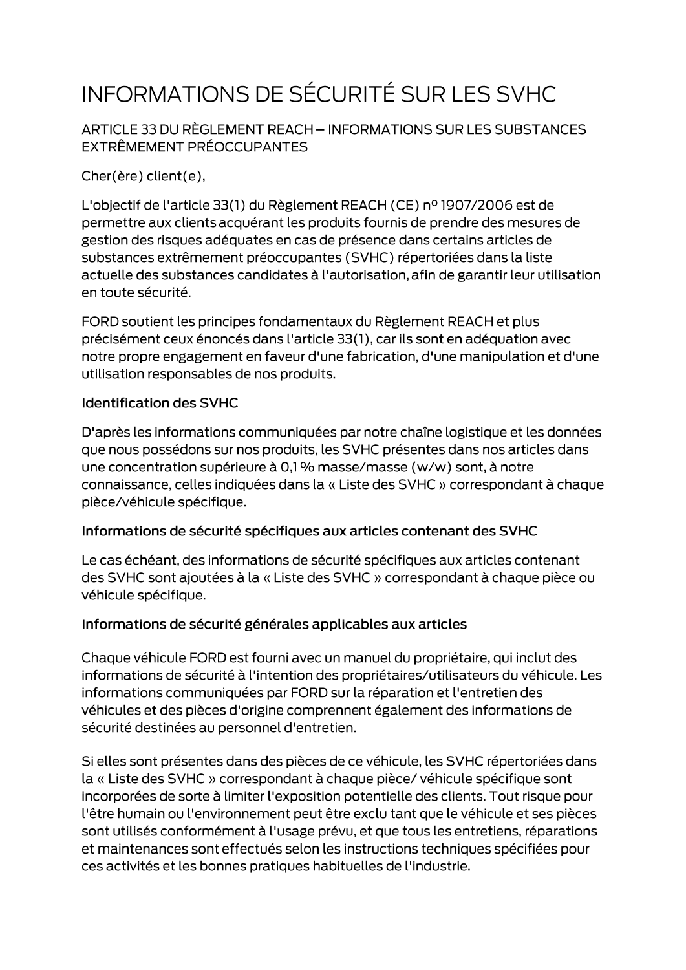# INFORMATIONS DE SÉCURITÉ SUR LES SVHC

ARTICLE 33 DU RÈGLEMENT REACH - INFORMATIONS SUR LES SUBSTANCES EXTRÊMEMENT PRÉOCCUPANTES

Cher(ère) client(e),

L'objectif de l'article 33(1) du Règlement REACH (CE) nº 1907/2006 est de permettre aux clients acquérant les produits fournis de prendre des mesures de gestion des risques adéquates en cas de présence dans certains articles de substances extrêmement préoccupantes (SVHC) répertoriées dans la liste actuelle des substances candidates à l'autorisation, afin de garantir leur utilisation en toute sécurité.

FORD soutient les principes fondamentaux du Règlement REACH et plus précisément ceux énoncés dans l'article 33(1), car ils sont en adéquation avec notre propre engagement en faveur d'une fabrication, d'une manipulation et d'une utilisation responsables de nos produits.

#### **Identification des SVHC**

D'après les informations communiquées par notre chaîne logistique et les données que nous possédons sur nos produits, les SVHC présentes dans nos articles dans une concentration supérieure à 0,1 % masse/masse (w/w) sont, à notre connaissance, celles indiquées dans la « Liste des SVHC » correspondant à chaque pièce/véhicule spécifique.

#### Informations de sécurité spécifiques aux articles contenant des SVHC

Le cas échéant, des informations de sécurité spécifiques aux articles contenant des SVHC sont ajoutées à la « Liste des SVHC » correspondant à chaque pièce ou véhicule spécifique.

### Informations de sécurité générales applicables aux articles

Chaque véhicule FORD est fourni avec un manuel du propriétaire, qui inclut des informations de sécurité à l'intention des propriétaires/utilisateurs du véhicule. Les informations communiquées par FORD sur la réparation et l'entretien des véhicules et des pièces d'origine comprennent également des informations de sécurité destinées au personnel d'entretien.

Si elles sont présentes dans des pièces de ce véhicule, les SVHC répertoriées dans la « Liste des SVHC » correspondant à chaque pièce/ véhicule spécifique sont incorporées de sorte à limiter l'exposition potentielle des clients. Tout risque pour l'être humain ou l'environnement peut être exclu tant que le véhicule et ses pièces sont utilisés conformément à l'usage prévu, et que tous les entretiens, réparations et maintenances sont effectués selon les instructions techniques spécifiées pour ces activités et les bonnes pratiques habituelles de l'industrie.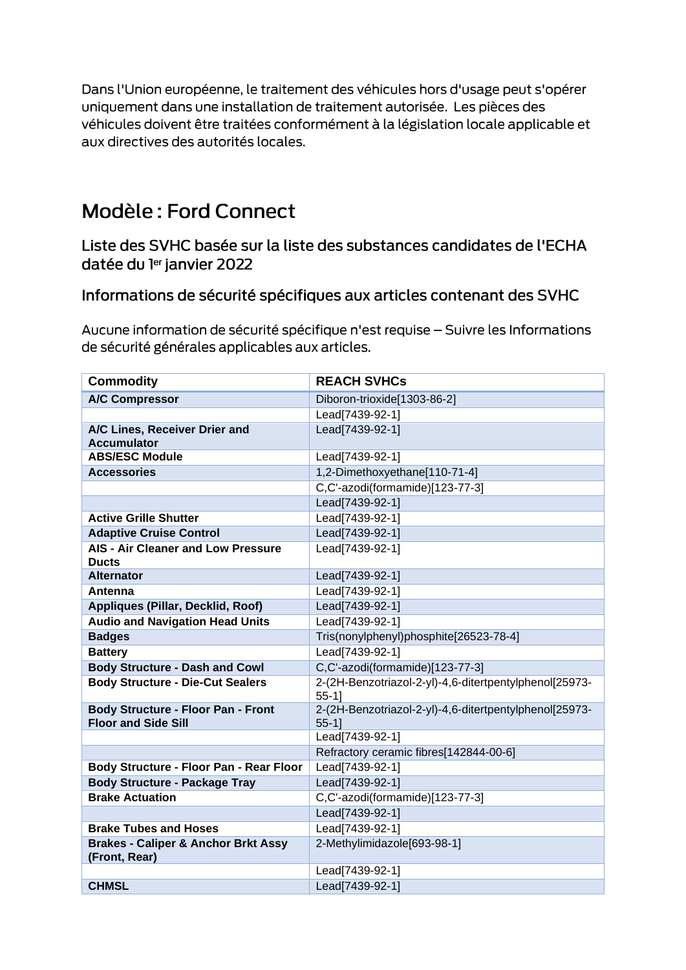Dans l'Union européenne, le traitement des véhicules hors d'usage peut s'opérer uniquement dans une installation de traitement autorisée. Les pièces des véhicules doivent être traitées conformément à la législation locale applicable et aux directives des autorités locales.

## Modèle: Ford Connect

Liste des SVHC basée sur la liste des substances candidates de l'ECHA datée du ler janvier 2022

### Informations de sécurité spécifiques aux articles contenant des SVHC

Aucune information de sécurité spécifique n'est requise - Suivre les Informations de sécurité générales applicables aux articles.

| <b>Commodity</b>                                                        | <b>REACH SVHCs</b>                                                 |
|-------------------------------------------------------------------------|--------------------------------------------------------------------|
| <b>A/C Compressor</b>                                                   | Diboron-trioxide[1303-86-2]                                        |
|                                                                         | Lead[7439-92-1]                                                    |
| A/C Lines, Receiver Drier and<br><b>Accumulator</b>                     | Lead[7439-92-1]                                                    |
| <b>ABS/ESC Module</b>                                                   | Lead[7439-92-1]                                                    |
| <b>Accessories</b>                                                      | 1,2-Dimethoxyethane[110-71-4]                                      |
|                                                                         | C,C'-azodi(formamide)[123-77-3]                                    |
|                                                                         | Lead[7439-92-1]                                                    |
| <b>Active Grille Shutter</b>                                            | Lead[7439-92-1]                                                    |
| <b>Adaptive Cruise Control</b>                                          | Lead[7439-92-1]                                                    |
| <b>AIS - Air Cleaner and Low Pressure</b><br><b>Ducts</b>               | Lead[7439-92-1]                                                    |
| <b>Alternator</b>                                                       | Lead[7439-92-1]                                                    |
| Antenna                                                                 | Lead[7439-92-1]                                                    |
| <b>Appliques (Pillar, Decklid, Roof)</b>                                | Lead[7439-92-1]                                                    |
| <b>Audio and Navigation Head Units</b>                                  | Lead[7439-92-1]                                                    |
| <b>Badges</b>                                                           | Tris(nonylphenyl)phosphite[26523-78-4]                             |
| <b>Battery</b>                                                          | Lead[7439-92-1]                                                    |
| <b>Body Structure - Dash and Cowl</b>                                   | C,C'-azodi(formamide)[123-77-3]                                    |
| <b>Body Structure - Die-Cut Sealers</b>                                 | 2-(2H-Benzotriazol-2-yl)-4,6-ditertpentylphenol[25973-<br>$55-1$ ] |
| <b>Body Structure - Floor Pan - Front</b><br><b>Floor and Side Sill</b> | 2-(2H-Benzotriazol-2-yl)-4,6-ditertpentylphenol[25973-<br>$55-1$   |
|                                                                         | Lead[7439-92-1]                                                    |
|                                                                         | Refractory ceramic fibres[142844-00-6]                             |
| Body Structure - Floor Pan - Rear Floor                                 | Lead[7439-92-1]                                                    |
| <b>Body Structure - Package Tray</b>                                    | Lead[7439-92-1]                                                    |
| <b>Brake Actuation</b>                                                  | C,C'-azodi(formamide)[123-77-3]                                    |
|                                                                         | Lead[7439-92-1]                                                    |
| <b>Brake Tubes and Hoses</b>                                            | Lead[7439-92-1]                                                    |
| <b>Brakes - Caliper &amp; Anchor Brkt Assy</b><br>(Front, Rear)         | 2-Methylimidazole[693-98-1]                                        |
|                                                                         | Lead[7439-92-1]                                                    |
| <b>CHMSL</b>                                                            | Lead[7439-92-1]                                                    |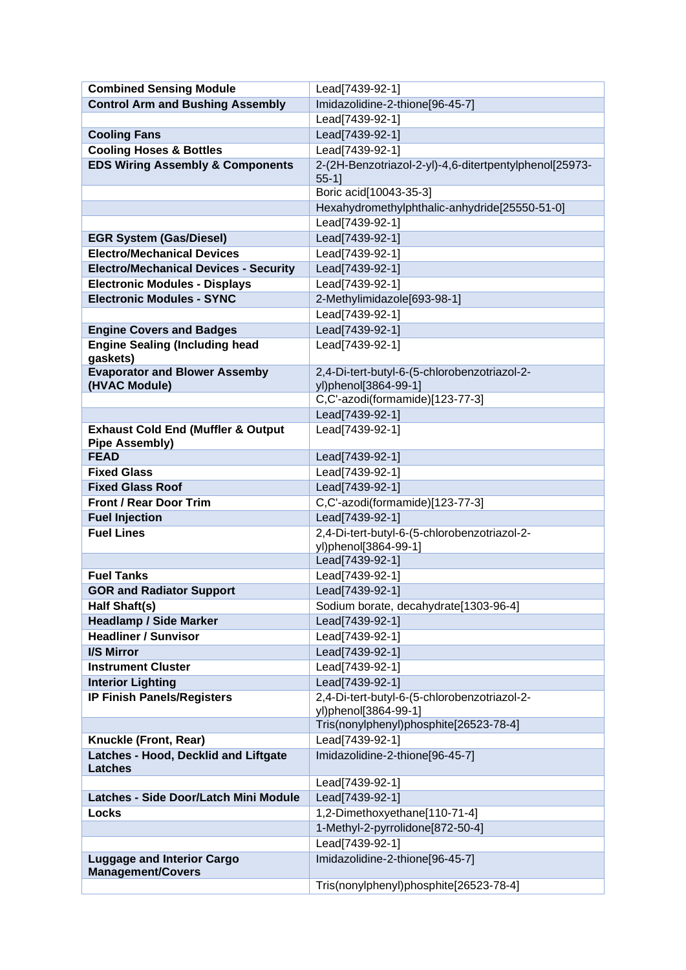| <b>Combined Sensing Module</b>                    | Lead[7439-92-1]                                                    |
|---------------------------------------------------|--------------------------------------------------------------------|
| <b>Control Arm and Bushing Assembly</b>           | Imidazolidine-2-thione[96-45-7]                                    |
|                                                   | Lead[7439-92-1]                                                    |
| <b>Cooling Fans</b>                               | Lead[7439-92-1]                                                    |
| <b>Cooling Hoses &amp; Bottles</b>                | Lead[7439-92-1]                                                    |
| <b>EDS Wiring Assembly &amp; Components</b>       | 2-(2H-Benzotriazol-2-yl)-4,6-ditertpentylphenol[25973-<br>$55-1$ ] |
|                                                   | Boric acid[10043-35-3]                                             |
|                                                   | Hexahydromethylphthalic-anhydride[25550-51-0]                      |
|                                                   | Lead[7439-92-1]                                                    |
| <b>EGR System (Gas/Diesel)</b>                    | Lead[7439-92-1]                                                    |
| <b>Electro/Mechanical Devices</b>                 | Lead[7439-92-1]                                                    |
| <b>Electro/Mechanical Devices - Security</b>      | Lead[7439-92-1]                                                    |
| <b>Electronic Modules - Displays</b>              | Lead[7439-92-1]                                                    |
| <b>Electronic Modules - SYNC</b>                  | 2-Methylimidazole[693-98-1]                                        |
|                                                   | Lead[7439-92-1]                                                    |
| <b>Engine Covers and Badges</b>                   | Lead[7439-92-1]                                                    |
| <b>Engine Sealing (Including head</b><br>gaskets) | Lead[7439-92-1]                                                    |
| <b>Evaporator and Blower Assemby</b>              | 2,4-Di-tert-butyl-6-(5-chlorobenzotriazol-2-                       |
| (HVAC Module)                                     | yl)phenol[3864-99-1]                                               |
|                                                   | C,C'-azodi(formamide)[123-77-3]                                    |
|                                                   | Lead[7439-92-1]                                                    |
| <b>Exhaust Cold End (Muffler &amp; Output</b>     | Lead[7439-92-1]                                                    |
| <b>Pipe Assembly)</b><br><b>FEAD</b>              | Lead[7439-92-1]                                                    |
| <b>Fixed Glass</b>                                | Lead[7439-92-1]                                                    |
| <b>Fixed Glass Roof</b>                           | Lead[7439-92-1]                                                    |
| <b>Front / Rear Door Trim</b>                     | C,C'-azodi(formamide)[123-77-3]                                    |
| <b>Fuel Injection</b>                             | Lead[7439-92-1]                                                    |
| <b>Fuel Lines</b>                                 | 2,4-Di-tert-butyl-6-(5-chlorobenzotriazol-2-                       |
|                                                   | yl)phenol[3864-99-1]                                               |
|                                                   | Lead[7439-92-1]                                                    |
| <b>Fuel Tanks</b>                                 | Lead[7439-92-1]                                                    |
| <b>GOR and Radiator Support</b>                   | Lead[7439-92-1]                                                    |
| Half Shaft(s)                                     | Sodium borate, decahydrate[1303-96-4]                              |
| <b>Headlamp / Side Marker</b>                     | Lead[7439-92-1]                                                    |
| <b>Headliner / Sunvisor</b>                       | Lead[7439-92-1]                                                    |
| I/S Mirror                                        | Lead[7439-92-1]                                                    |
| <b>Instrument Cluster</b>                         | Lead[7439-92-1]                                                    |
| <b>Interior Lighting</b>                          | Lead[7439-92-1]                                                    |
| <b>IP Finish Panels/Registers</b>                 | 2,4-Di-tert-butyl-6-(5-chlorobenzotriazol-2-                       |
|                                                   | yl)phenol[3864-99-1]                                               |
| Knuckle (Front, Rear)                             | Tris(nonylphenyl)phosphite[26523-78-4]<br>Lead[7439-92-1]          |
| Latches - Hood, Decklid and Liftgate              | Imidazolidine-2-thione[96-45-7]                                    |
| <b>Latches</b>                                    |                                                                    |
|                                                   | Lead[7439-92-1]                                                    |
| Latches - Side Door/Latch Mini Module             | Lead[7439-92-1]                                                    |
| Locks                                             | 1,2-Dimethoxyethane[110-71-4]                                      |
|                                                   | 1-Methyl-2-pyrrolidone[872-50-4]                                   |
| <b>Luggage and Interior Cargo</b>                 | Lead[7439-92-1]<br>Imidazolidine-2-thione[96-45-7]                 |
| <b>Management/Covers</b>                          |                                                                    |
|                                                   | Tris(nonylphenyl)phosphite[26523-78-4]                             |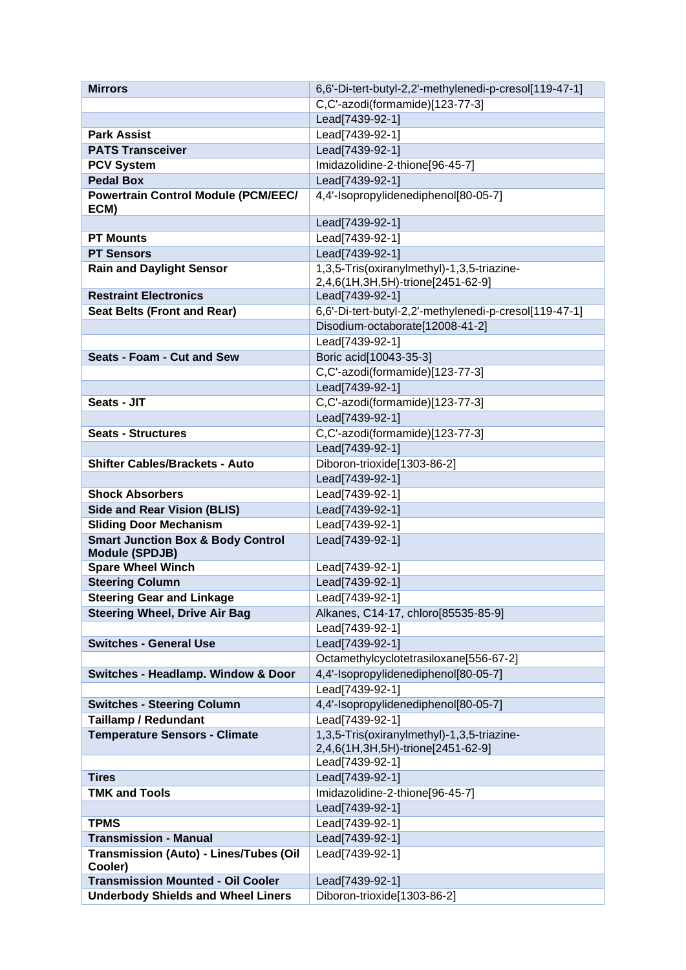| <b>Mirrors</b>                                    | 6,6'-Di-tert-butyl-2,2'-methylenedi-p-cresol[119-47-1] |
|---------------------------------------------------|--------------------------------------------------------|
|                                                   | C,C'-azodi(formamide)[123-77-3]                        |
|                                                   | Lead[7439-92-1]                                        |
| <b>Park Assist</b>                                | Lead[7439-92-1]                                        |
| <b>PATS Transceiver</b>                           | Lead[7439-92-1]                                        |
| <b>PCV System</b>                                 | Imidazolidine-2-thione[96-45-7]                        |
| <b>Pedal Box</b>                                  | Lead[7439-92-1]                                        |
| <b>Powertrain Control Module (PCM/EEC/</b>        | 4,4'-Isopropylidenediphenol[80-05-7]                   |
| ECM)                                              |                                                        |
|                                                   | Lead[7439-92-1]                                        |
| <b>PT Mounts</b>                                  | Lead[7439-92-1]                                        |
| <b>PT Sensors</b>                                 | Lead[7439-92-1]                                        |
| <b>Rain and Daylight Sensor</b>                   | 1,3,5-Tris(oxiranylmethyl)-1,3,5-triazine-             |
|                                                   | 2,4,6(1H,3H,5H)-trione[2451-62-9]                      |
| <b>Restraint Electronics</b>                      | Lead[7439-92-1]                                        |
| <b>Seat Belts (Front and Rear)</b>                | 6,6'-Di-tert-butyl-2,2'-methylenedi-p-cresol[119-47-1] |
|                                                   | Disodium-octaborate[12008-41-2]                        |
|                                                   | Lead[7439-92-1]                                        |
| Seats - Foam - Cut and Sew                        | Boric acid[10043-35-3]                                 |
|                                                   | C,C'-azodi(formamide)[123-77-3]                        |
|                                                   | Lead[7439-92-1]                                        |
| Seats - JIT                                       | C,C'-azodi(formamide)[123-77-3]                        |
|                                                   | Lead[7439-92-1]                                        |
| <b>Seats - Structures</b>                         | C,C'-azodi(formamide)[123-77-3]                        |
|                                                   | Lead[7439-92-1]                                        |
| <b>Shifter Cables/Brackets - Auto</b>             | Diboron-trioxide[1303-86-2]                            |
|                                                   | Lead[7439-92-1]                                        |
| <b>Shock Absorbers</b>                            | Lead[7439-92-1]                                        |
| <b>Side and Rear Vision (BLIS)</b>                | Lead[7439-92-1]                                        |
| <b>Sliding Door Mechanism</b>                     | Lead[7439-92-1]                                        |
| <b>Smart Junction Box &amp; Body Control</b>      | Lead[7439-92-1]                                        |
| <b>Module (SPDJB)</b>                             |                                                        |
| <b>Spare Wheel Winch</b>                          | Lead[7439-92-1]                                        |
| <b>Steering Column</b>                            | Lead[7439-92-1]                                        |
| <b>Steering Gear and Linkage</b>                  | Lead[7439-92-1]                                        |
| <b>Steering Wheel, Drive Air Bag</b>              | Alkanes, C14-17, chloro[85535-85-9]                    |
|                                                   | Lead[7439-92-1]                                        |
| <b>Switches - General Use</b>                     | Lead[7439-92-1]                                        |
|                                                   | Octamethylcyclotetrasiloxane[556-67-2]                 |
| <b>Switches - Headlamp. Window &amp; Door</b>     | 4,4'-Isopropylidenediphenol[80-05-7]                   |
|                                                   | Lead[7439-92-1]                                        |
| <b>Switches - Steering Column</b>                 | 4,4'-Isopropylidenediphenol[80-05-7]                   |
| <b>Taillamp / Redundant</b>                       | Lead[7439-92-1]                                        |
| <b>Temperature Sensors - Climate</b>              | 1,3,5-Tris(oxiranylmethyl)-1,3,5-triazine-             |
|                                                   | 2,4,6(1H,3H,5H)-trione[2451-62-9]                      |
|                                                   | Lead[7439-92-1]                                        |
| <b>Tires</b>                                      | Lead[7439-92-1]                                        |
| <b>TMK and Tools</b>                              | Imidazolidine-2-thione[96-45-7]                        |
|                                                   | Lead[7439-92-1]                                        |
| <b>TPMS</b>                                       | Lead[7439-92-1]                                        |
| <b>Transmission - Manual</b>                      | Lead[7439-92-1]                                        |
| Transmission (Auto) - Lines/Tubes (Oil<br>Cooler) | Lead[7439-92-1]                                        |
| <b>Transmission Mounted - Oil Cooler</b>          | Lead[7439-92-1]                                        |
| <b>Underbody Shields and Wheel Liners</b>         | Diboron-trioxide[1303-86-2]                            |